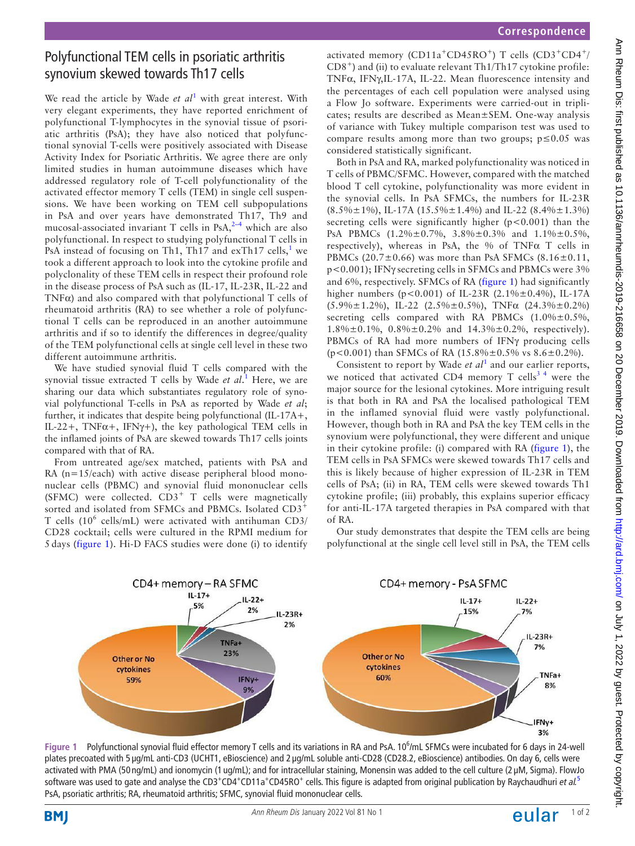## Polyfunctional TEM cells in psoriatic arthritis synovium skewed towards Th17 cells

We read the article by Wade  $et$   $al<sup>1</sup>$  $al<sup>1</sup>$  $al<sup>1</sup>$  with great interest. With very elegant experiments, they have reported enrichment of polyfunctional T-lymphocytes in the synovial tissue of psoriatic arthritis (PsA); they have also noticed that polyfunctional synovial T-cells were positively associated with Disease Activity Index for Psoriatic Arthritis. We agree there are only limited studies in human autoimmune diseases which have addressed regulatory role of T-cell polyfunctionality of the activated effector memory T cells (TEM) in single cell suspensions. We have been working on TEM cell subpopulations in PsA and over years have demonstrated Th17, Th9 and mucosal-associated invariant T cells in PsA, $2-4$  which are also polyfunctional. In respect to studying polyfunctional T cells in PsA instead of focusing on Th[1](#page-1-0), Th17 and exTh17 cells,<sup>1</sup> we took a different approach to look into the cytokine profile and polyclonality of these TEM cells in respect their profound role in the disease process of PsA such as (IL-17, IL-23R, IL-22 and TNFα) and also compared with that polyfunctional T cells of rheumatoid arthritis (RA) to see whether a role of polyfunctional T cells can be reproduced in an another autoimmune arthritis and if so to identify the differences in degree/quality of the TEM polyfunctional cells at single cell level in these two different autoimmune arthritis.

We have studied synovial fluid T cells compared with the synovial tissue extracted T cells by Wade *et al*. [1](#page-1-0) Here, we are sharing our data which substantiates regulatory role of synovial polyfunctional T-cells in PsA as reported by Wade *et al*; further, it indicates that despite being polyfunctional (IL-17A+, IL-22+, TNF $\alpha$ +, IFN $\gamma$ +), the key pathological TEM cells in the inflamed joints of PsA are skewed towards Th17 cells joints compared with that of RA.

From untreated age/sex matched, patients with PsA and RA (n=15/each) with active disease peripheral blood mononuclear cells (PBMC) and synovial fluid mononuclear cells (SFMC) were collected.  $CD3^+$  T cells were magnetically sorted and isolated from SFMCs and PBMCs. Isolated CD3<sup>+</sup> T cells (10<sup>6</sup> cells/mL) were activated with antihuman CD3/ CD28 cocktail; cells were cultured in the RPMI medium for 5 days ([figure](#page-0-0) 1). Hi-D FACS studies were done (i) to identify

activated memory (CD11a<sup>+</sup>CD45RO<sup>+</sup>) T cells (CD3<sup>+</sup>CD4<sup>+</sup>/  $CD8<sup>+</sup>$ ) and (ii) to evaluate relevant Th1/Th17 cytokine profile: TNFα, IFNγ,IL-17A, IL-22. Mean fluorescence intensity and the percentages of each cell population were analysed using a Flow Jo software. Experiments were carried-out in triplicates; results are described as Mean±SEM. One-way analysis of variance with Tukey multiple comparison test was used to compare results among more than two groups; p≤0.05 was considered statistically significant.

Both in PsA and RA, marked polyfunctionality was noticed in T cells of PBMC/SFMC. However, compared with the matched blood T cell cytokine, polyfunctionality was more evident in the synovial cells. In PsA SFMCs, the numbers for IL-23R  $(8.5\% \pm 1\%)$ , IL-17A (15.5% $\pm 1.4\%$ ) and IL-22 (8.4% $\pm 1.3\%$ ) secreting cells were significantly higher  $(p<0.001)$  than the PsA PBMCs (1.2%±0.7%, 3.8%±0.3% and 1.1%±0.5%, respectively), whereas in PsA, the % of TNFα T cells in PBMCs (20.7 $\pm$ 0.66) was more than PsA SFMCs (8.16 $\pm$ 0.11, p<0.001); IFNγ secreting cells in SFMCs and PBMCs were 3% and 6%, respectively. SFMCs of RA ([figure](#page-0-0) 1) had significantly higher numbers (p<0.001) of IL-23R (2.1%±0.4%), IL-17A  $(5.9\% \pm 1.2\%)$ , IL-22  $(2.5\% \pm 0.5\%)$ , TNF $\alpha$   $(24.3\% \pm 0.2\%)$ secreting cells compared with RA PBMCs  $(1.0\% \pm 0.5\%,$ 1.8%±0.1%, 0.8%±0.2% and 14.3%±0.2%, respectively). PBMCs of RA had more numbers of IFNγ producing cells (p<0.001) than SFMCs of RA  $(15.8\% \pm 0.5\% \text{ vs } 8.6 \pm 0.2\%).$ 

Consistent to report by Wade *et al*<sup>[1](#page-1-0)</sup> and our earlier reports, we noticed that activated CD4 memory T cells<sup>34</sup> were the major source for the lesional cytokines. More intriguing result is that both in RA and PsA the localised pathological TEM in the inflamed synovial fluid were vastly polyfunctional. However, though both in RA and PsA the key TEM cells in the synovium were polyfunctional, they were different and unique in their cytokine profile: (i) compared with RA ([figure](#page-0-0) 1), the TEM cells in PsA SFMCs were skewed towards Th17 cells and this is likely because of higher expression of IL-23R in TEM cells of PsA; (ii) in RA, TEM cells were skewed towards Th1 cytokine profile; (iii) probably, this explains superior efficacy for anti-IL-17A targeted therapies in PsA compared with that of RA.

Our study demonstrates that despite the TEM cells are being polyfunctional at the single cell level still in PsA, the TEM cells



<span id="page-0-0"></span>Figure 1 Polyfunctional synovial fluid effector memory T cells and its variations in RA and PsA. 10<sup>6</sup>/mL SFMCs were incubated for 6 days in 24-well plates precoated with 5 µg/mL anti-CD3 (UCHT1, eBioscience) and 2 µg/mL soluble anti-CD28 (CD28.2, eBioscience) antibodies. On day 6, cells were activated with PMA (50 ng/mL) and ionomycin (1 ug/mL); and for intracellular staining, Monensin was added to the cell culture (2 µM, Sigma). FlowJo software was used to gate and analyse the CD3<sup>+</sup>CD4<sup>+</sup>CD11a<sup>+</sup>CD4[5](#page-1-3)RO<sup>+</sup> cells. This figure is adapted from original publication by Raychaudhuri *et al.*<sup>5</sup> PsA, psoriatic arthritis; RA, rheumatoid arthritis; SFMC, synovial fluid mononuclear cells.